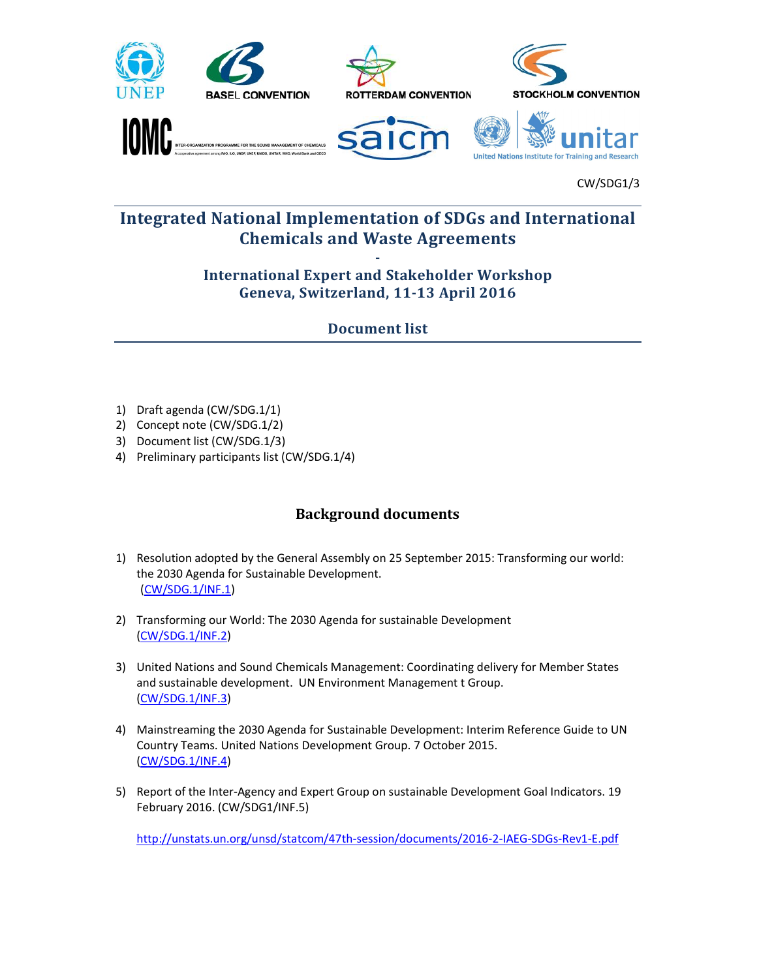

## Integrated National Implementation of SDGs and International Chemicals and Waste Agreements

CW/SDG1/3

## - International Expert and Stakeholder Workshop Geneva, Switzerland, 11-13 April 2016

Document list

- 1) Draft agenda (CW/SDG.1/1)
- 2) Concept note (CW/SDG.1/2)
- 3) Document list (CW/SDG.1/3)
- 4) Preliminary participants list (CW/SDG.1/4)

## Background documents

- 1) Resolution adopted by the General Assembly on 25 September 2015: Transforming our world: the 2030 Agenda for Sustainable Development. (CW/SDG.1/INF.1)
- 2) Transforming our World: The 2030 Agenda for sustainable Development (CW/SDG.1/INF.2)
- 3) United Nations and Sound Chemicals Management: Coordinating delivery for Member States and sustainable development. UN Environment Management t Group. (CW/SDG.1/INF.3)
- 4) Mainstreaming the 2030 Agenda for Sustainable Development: Interim Reference Guide to UN Country Teams. United Nations Development Group. 7 October 2015. (CW/SDG.1/INF.4)
- 5) Report of the Inter-Agency and Expert Group on sustainable Development Goal Indicators. 19 February 2016. (CW/SDG1/INF.5)

http://unstats.un.org/unsd/statcom/47th-session/documents/2016-2-IAEG-SDGs-Rev1-E.pdf